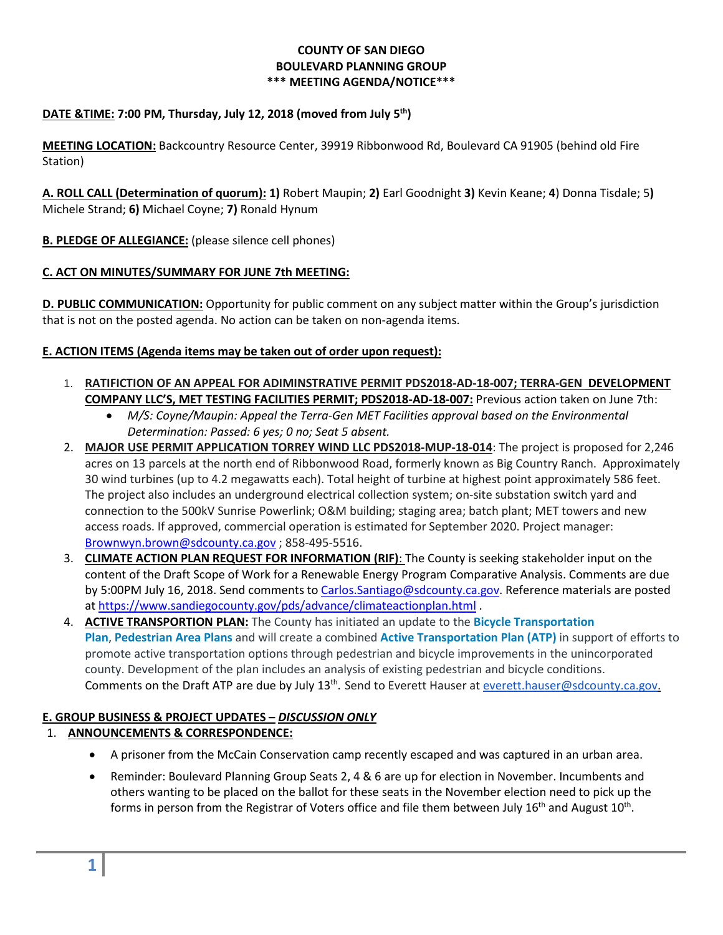#### **COUNTY OF SAN DIEGO BOULEVARD PLANNING GROUP \*\*\* MEETING AGENDA/NOTICE\*\*\***

## **DATE &TIME: 7:00 PM, Thursday, July 12, 2018 (moved from July 5th)**

**MEETING LOCATION:** Backcountry Resource Center, 39919 Ribbonwood Rd, Boulevard CA 91905 (behind old Fire Station)

**A. ROLL CALL (Determination of quorum): 1)** Robert Maupin; **2)** Earl Goodnight **3)** Kevin Keane; **4**) Donna Tisdale; 5**)**  Michele Strand; **6)** Michael Coyne; **7)** Ronald Hynum

**B. PLEDGE OF ALLEGIANCE:** (please silence cell phones)

#### **C. ACT ON MINUTES/SUMMARY FOR JUNE 7th MEETING:**

**D. PUBLIC COMMUNICATION:** Opportunity for public comment on any subject matter within the Group's jurisdiction that is not on the posted agenda. No action can be taken on non-agenda items.

#### **E. ACTION ITEMS (Agenda items may be taken out of order upon request):**

- 1. **RATIFICTION OF AN APPEAL FOR ADIMINSTRATIVE PERMIT PDS2018-AD-18-007; TERRA-GEN DEVELOPMENT COMPANY LLC'S, MET TESTING FACILITIES PERMIT; PDS2018-AD-18-007:** Previous action taken on June 7th:
	- *M/S: Coyne/Maupin: Appeal the Terra-Gen MET Facilities approval based on the Environmental Determination: Passed: 6 yes; 0 no; Seat 5 absent.*
- 2. **MAJOR USE PERMIT APPLICATION TORREY WIND LLC PDS2018-MUP-18-014**: The project is proposed for 2,246 acres on 13 parcels at the north end of Ribbonwood Road, formerly known as Big Country Ranch. Approximately 30 wind turbines (up to 4.2 megawatts each). Total height of turbine at highest point approximately 586 feet. The project also includes an underground electrical collection system; on-site substation switch yard and connection to the 500kV Sunrise Powerlink; O&M building; staging area; batch plant; MET towers and new access roads. If approved, commercial operation is estimated for September 2020. Project manager: [Brownwyn.brown@sdcounty.ca.gov](mailto:Brownwyn.brown@sdcounty.ca.gov) ; 858-495-5516.
- 3. **CLIMATE ACTION PLAN REQUEST FOR INFORMATION (RIF)**: The County is seeking stakeholder input on the content of the Draft Scope of Work for a Renewable Energy Program Comparative Analysis. Comments are due by 5:00PM July 16, 2018. Send comments to [Carlos.Santiago@sdcounty.ca.gov.](mailto:Carlos.Santiago@sdcounty.ca.gov) Reference materials are posted at<https://www.sandiegocounty.gov/pds/advance/climateactionplan.html> .
- 4. **ACTIVE TRANSPORTION PLAN:** The County has initiated an update to the **[Bicycle Transportation](http://www.sandiegocounty.gov/dplu/docs/Bicycle_Transportation_Plan.pdf)  [Plan](http://www.sandiegocounty.gov/dplu/docs/Bicycle_Transportation_Plan.pdf)**, **[Pedestrian Area Plans](http://www.sandiegocounty.gov/content/sdc/pds/advance/pedareaplan.html)** and will create a combined **[Active Transportation Plan \(ATP\)](http://www.sandag.org/uploads/projectid/applications/ATGP2a/02.pdf)** in support of efforts to promote active transportation options through pedestrian and bicycle improvements in the unincorporated county. Development of the plan includes an analysis of existing pedestrian and bicycle conditions. Comments on the Draft ATP are due by July 13<sup>th</sup>. Send to Everett Hauser at [everett.hauser@sdcounty.ca.gov.](mailto:everett.hauser@sdcounty.ca.gov)

# **E. GROUP BUSINESS & PROJECT UPDATES –** *DISCUSSION ONLY*

# 1. **ANNOUNCEMENTS & CORRESPONDENCE:**

- A prisoner from the McCain Conservation camp recently escaped and was captured in an urban area.
- Reminder: Boulevard Planning Group Seats 2, 4 & 6 are up for election in November. Incumbents and others wanting to be placed on the ballot for these seats in the November election need to pick up the forms in person from the Registrar of Voters office and file them between July  $16<sup>th</sup>$  and August  $10<sup>th</sup>$ .